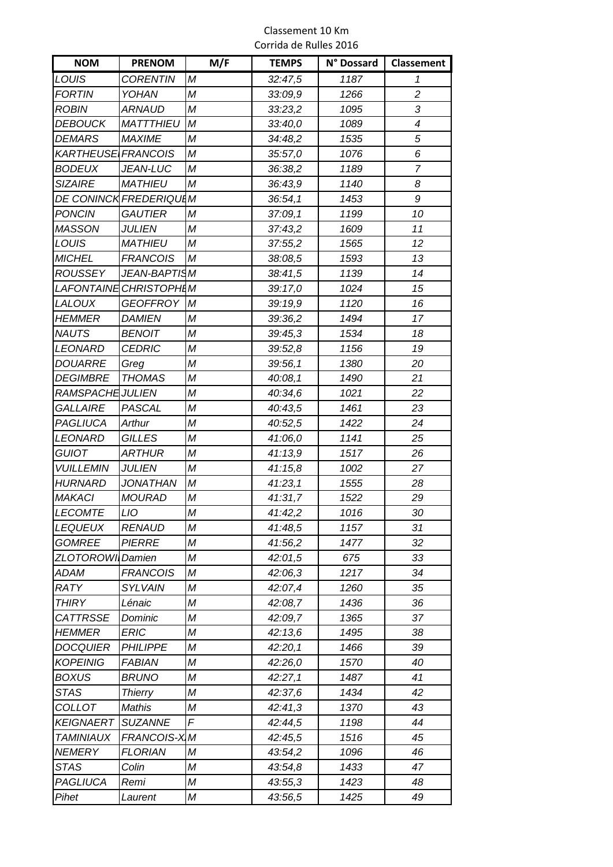#### Classement 10 Km Corrida de Rulles 2016

| <b>NOM</b>         | <b>PRENOM</b>           | M/F | <b>TEMPS</b> | N° Dossard | Classement     |
|--------------------|-------------------------|-----|--------------|------------|----------------|
| LOUIS              | <b>CORENTIN</b>         | М   | 32:47,5      | 1187       | 1              |
| <b>FORTIN</b>      | YOHAN                   | M   | 33:09,9      | 1266       | $\overline{c}$ |
| <b>ROBIN</b>       | <b>ARNAUD</b>           | M   | 33:23,2      | 1095       | 3              |
| <b>DEBOUCK</b>     | <b>MATTTHIEU</b>        | M   | 33:40,0      | 1089       | 4              |
| <b>DEMARS</b>      | <b>MAXIME</b>           | М   | 34:48,2      | 1535       | 5              |
| KARTHEUSE FRANCOIS |                         | М   | 35:57,0      | 1076       | 6              |
| <b>BODEUX</b>      | JEAN-LUC                | М   | 36:38,2      | 1189       | $\overline{7}$ |
| <b>SIZAIRE</b>     | <b>MATHIEU</b>          | М   | 36:43,9      | 1140       | 8              |
|                    | DE CONINCK FREDERIQUI M |     | 36:54,1      | 1453       | 9              |
| <b>PONCIN</b>      | <b>GAUTIER</b>          | М   | 37:09,1      | 1199       | 10             |
| <b>MASSON</b>      | <b>JULIEN</b>           | M   | 37:43,2      | 1609       | 11             |
| LOUIS              | <b>MATHIEU</b>          | М   | 37:55,2      | 1565       | 12             |
| <b>MICHEL</b>      | <b>FRANCOIS</b>         | М   | 38:08,5      | 1593       | 13             |
| ROUSSEY            | JEAN-BAPTISM            |     | 38:41,5      | 1139       | 14             |
|                    | LAFONTAINE CHRISTOPHLM  |     | 39:17,0      | 1024       | 15             |
| <b>LALOUX</b>      | <b>GEOFFROY</b>         | M   | 39:19,9      | 1120       | 16             |
| <b>HEMMER</b>      | <b>DAMIEN</b>           | М   | 39:36,2      | 1494       | 17             |
| <b>NAUTS</b>       | <b>BENOIT</b>           | M   | 39:45,3      | 1534       | 18             |
| <b>LEONARD</b>     | <b>CEDRIC</b>           | М   | 39:52,8      | 1156       | 19             |
| <i>DOUARRE</i>     | Greg                    | М   | 39:56,1      | 1380       | 20             |
| <b>DEGIMBRE</b>    | <b>THOMAS</b>           | M   | 40:08,1      | 1490       | 21             |
| RAMSPACHE JULIEN   |                         | M   | 40:34,6      | 1021       | 22             |
| <b>GALLAIRE</b>    | PASCAL                  | М   | 40:43,5      | 1461       | 23             |
| PAGLIUCA           | Arthur                  | М   | 40:52,5      | 1422       | 24             |
| <i>LEONARD</i>     | <b>GILLES</b>           | Μ   | 41:06,0      | 1141       | 25             |
| <b>GUIOT</b>       | <b>ARTHUR</b>           | М   | 41:13,9      | 1517       | 26             |
| <b>VUILLEMIN</b>   | <b>JULIEN</b>           | М   | 41:15,8      | 1002       | 27             |
| <b>HURNARD</b>     | <b>JONATHAN</b>         | М   | 41:23,1      | 1555       | 28             |
| <b>MAKACI</b>      | <b>MOURAD</b>           | М   | 41:31,7      | 1522       | 29             |
| <b>LECOMTE</b>     | LIO                     | М   | 41:42,2      | 1016       | 30             |
| <b>LEQUEUX</b>     | <b>RENAUD</b>           | М   | 41:48,5      | 1157       | 31             |
| <b>GOMREE</b>      | <b>PIERRE</b>           | М   | 41:56,2      | 1477       | 32             |
| ZLOTOROWI Damien   |                         | М   | 42:01,5      | 675        | 33             |
| ADAM               | <b>FRANCOIS</b>         | M   | 42:06,3      | 1217       | 34             |
| RATY               | <b>SYLVAIN</b>          | Μ   | 42:07,4      | 1260       | 35             |
| <b>THIRY</b>       | Lénaic                  | М   | 42:08,7      | 1436       | 36             |
| <b>CATTRSSE</b>    | Dominic                 | Μ   | 42:09,7      | 1365       | 37             |
| <b>HEMMER</b>      | <b>ERIC</b>             | М   | 42:13,6      | 1495       | 38             |
| DOCQUIER           | <b>PHILIPPE</b>         | Μ   | 42:20,1      | 1466       | 39             |
| <b>KOPEINIG</b>    | <b>FABIAN</b>           | М   | 42:26,0      | 1570       | 40             |
| BOXUS              | <b>BRUNO</b>            | М   | 42:27,1      | 1487       | 41             |
| STAS               | <b>Thierry</b>          | М   | 42:37,6      | 1434       | 42             |
| <b>COLLOT</b>      | <b>Mathis</b>           | M   | 42:41,3      | 1370       | 43             |
| <b>KEIGNAERT</b>   | <b>SUZANNE</b>          | F   | 42:44,5      | 1198       | 44             |
| <b>TAMINIAUX</b>   | <b>FRANCOIS-X</b>       | M   | 42:45,5      | 1516       | 45             |
| <b>NEMERY</b>      | <b>FLORIAN</b>          | М   | 43:54,2      | 1096       | 46             |
| <b>STAS</b>        | Colin                   | Μ   | 43:54,8      | 1433       | 47             |
| PAGLIUCA           | Remi                    | М   | 43:55,3      | 1423       | 48             |
| Pihet              | Laurent                 | Μ   | 43:56,5      | 1425       | 49             |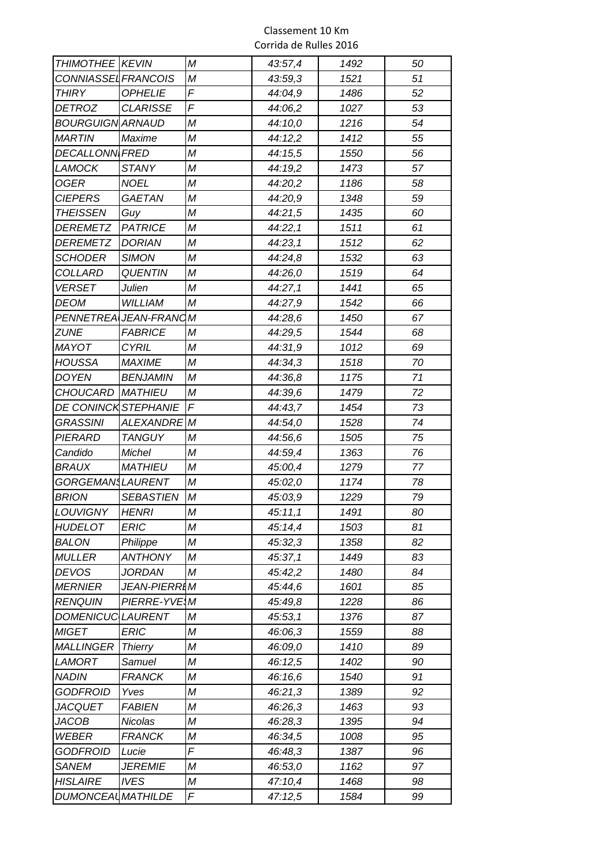| <b>THIMOTHEE KEVIN</b>    |                       | М | 43:57,4 | 1492 | 50 |
|---------------------------|-----------------------|---|---------|------|----|
| CONNIASSEL FRANCOIS       |                       | М | 43:59,3 | 1521 | 51 |
| THIRY                     | <b>OPHELIE</b>        | F | 44:04,9 | 1486 | 52 |
| <b>DETROZ</b>             | <b>CLARISSE</b>       | F | 44:06,2 | 1027 | 53 |
| <b>BOURGUIGN ARNAUD</b>   |                       | M | 44:10,0 | 1216 | 54 |
| MARTIN                    | Maxime                | М | 44:12,2 | 1412 | 55 |
| <b>DECALLONN FRED</b>     |                       | М | 44:15,5 | 1550 | 56 |
| LAMOCK                    | <b>STANY</b>          | M | 44:19,2 | 1473 | 57 |
| <b>OGER</b>               | <b>NOEL</b>           | M | 44:20,2 | 1186 | 58 |
| <b>CIEPERS</b>            | <b>GAETAN</b>         | Μ | 44:20,9 | 1348 | 59 |
| <b>THEISSEN</b>           | Guy                   | М | 44:21,5 | 1435 | 60 |
| <b>DEREMETZ</b>           | <b>PATRICE</b>        | M | 44:22,1 | 1511 | 61 |
| <b>DEREMETZ</b>           | <b>DORIAN</b>         | М | 44:23,1 | 1512 | 62 |
| <b>SCHODER</b>            | <b>SIMON</b>          | M | 44:24,8 | 1532 | 63 |
| <b>COLLARD</b>            | <b>QUENTIN</b>        | M | 44:26,0 | 1519 | 64 |
| <b>VERSET</b>             | Julien                | М | 44:27,1 | 1441 | 65 |
| DEOM                      | <b>WILLIAM</b>        | М | 44:27,9 | 1542 | 66 |
|                           | PENNETREA JEAN-FRANCM |   | 44:28,6 | 1450 | 67 |
| ZUNE                      | <b>FABRICE</b>        | М | 44:29,5 | 1544 | 68 |
| <b>MAYOT</b>              | <b>CYRIL</b>          | М | 44:31,9 | 1012 | 69 |
| <b>HOUSSA</b>             | <b>MAXIME</b>         | М | 44:34,3 | 1518 | 70 |
| <b>DOYEN</b>              | <b>BENJAMIN</b>       | М | 44:36,8 | 1175 | 71 |
| <b>CHOUCARD</b>           | <b>MATHIEU</b>        | М | 44:39,6 | 1479 | 72 |
| DE CONINCK STEPHANIE      |                       | F | 44:43,7 | 1454 | 73 |
| <b>GRASSINI</b>           | <b>ALEXANDRE</b>      | M | 44:54,0 | 1528 | 74 |
| PIERARD                   | <b>TANGUY</b>         | M | 44:56,6 | 1505 | 75 |
| Candido                   | Michel                | M | 44:59,4 | 1363 | 76 |
| <i>BRAUX</i>              | <b>MATHIEU</b>        | M | 45:00,4 | 1279 | 77 |
| GORGEMAN LAURENT          |                       | М | 45:02,0 | 1174 | 78 |
| <b>BRION</b>              | <b>SEBASTIEN</b>      | М | 45:03,9 | 1229 | 79 |
| <b>LOUVIGNY</b>           | <b>HENRI</b>          | М | 45:11,1 | 1491 | 80 |
| <b>HUDELOT</b>            | <b>ERIC</b>           | М | 45:14,4 | 1503 | 81 |
| <b>BALON</b>              | Philippe              | М | 45:32,3 | 1358 | 82 |
| <b>MULLER</b>             | <b>ANTHONY</b>        | M | 45:37,1 | 1449 | 83 |
| <b>DEVOS</b>              | JORDAN                | M | 45:42,2 | 1480 | 84 |
| <b>MERNIER</b>            | <b>JEAN-PIERRIM</b>   |   | 45:44,6 | 1601 | 85 |
| <b>RENQUIN</b>            | PIERRE-YVE M          |   | 45:49,8 | 1228 | 86 |
| <b>DOMENICUCLAURENT</b>   |                       | Μ | 45:53,1 | 1376 | 87 |
| <b>MIGET</b>              | <b>ERIC</b>           | M | 46:06,3 | 1559 | 88 |
| <b>MALLINGER</b>          | <b>Thierry</b>        | Μ | 46:09,0 | 1410 | 89 |
| LAMORT                    | Samuel                | Μ | 46:12,5 | 1402 | 90 |
| <b>NADIN</b>              | <b>FRANCK</b>         | М | 46:16,6 | 1540 | 91 |
| <b>GODFROID</b>           | Yves                  | М | 46:21,3 | 1389 | 92 |
| <b>JACQUET</b>            | <b>FABIEN</b>         | М | 46:26,3 | 1463 | 93 |
| JACOB                     | Nicolas               | M | 46:28,3 | 1395 | 94 |
| WEBER                     | <b>FRANCK</b>         | M | 46:34,5 | 1008 | 95 |
| <b>GODFROID</b>           | Lucie                 | F | 46:48,3 | 1387 | 96 |
| <b>SANEM</b>              | <i>JEREMIE</i>        | Μ | 46:53,0 | 1162 | 97 |
| <b>HISLAIRE</b>           | <b>IVES</b>           | М | 47:10,4 | 1468 | 98 |
| <b>DUMONCEAL MATHILDE</b> |                       | F | 47:12,5 | 1584 | 99 |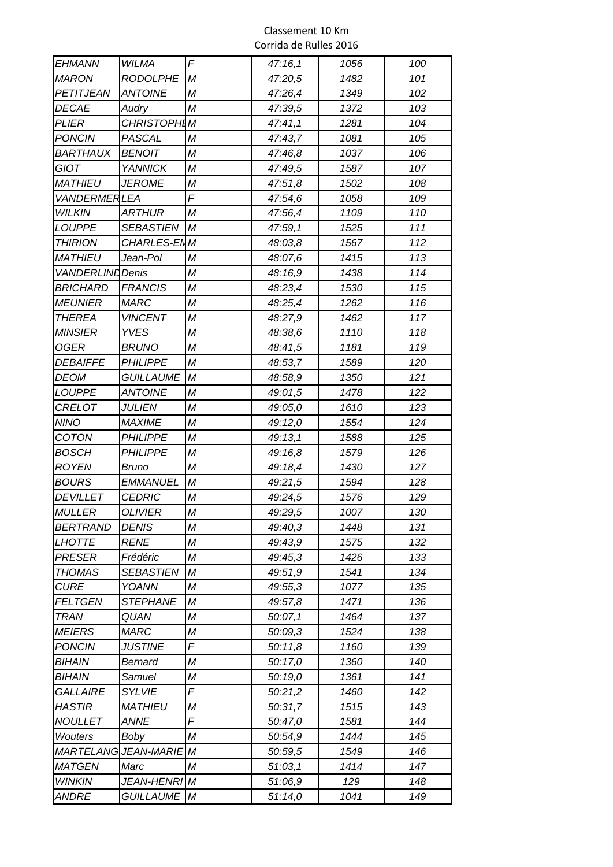| EHMANN                  | WILMA                       | F | 47:16,1 | 1056 | 100 |
|-------------------------|-----------------------------|---|---------|------|-----|
| <b>MARON</b>            | <b>RODOLPHE</b>             | М | 47:20,5 | 1482 | 101 |
| PETITJEAN               | <b>ANTOINE</b>              | Μ | 47:26,4 | 1349 | 102 |
| <b>DECAE</b>            | Audry                       | M | 47:39,5 | 1372 | 103 |
| PLIER                   | <b>CHRISTOPHIM</b>          |   | 47:41,1 | 1281 | 104 |
| <b>PONCIN</b>           | PASCAL                      | M | 47:43,7 | 1081 | 105 |
| <i><b>BARTHAUX</b></i>  | <b>BENOIT</b>               | M | 47:46,8 | 1037 | 106 |
| <b>GIOT</b>             | <b>YANNICK</b>              | М | 47:49,5 | 1587 | 107 |
| <i>MATHIEU</i>          | <b>JEROME</b>               | M | 47:51,8 | 1502 | 108 |
| <b>VANDERMERLEA</b>     |                             | F | 47:54,6 | 1058 | 109 |
| <b>WILKIN</b>           | <b>ARTHUR</b>               | M | 47:56,4 | 1109 | 110 |
| LOUPPE                  | <b>SEBASTIEN</b>            | М | 47:59,1 | 1525 | 111 |
| <b>THIRION</b>          | CHARLES-ENM                 |   | 48:03,8 | 1567 | 112 |
| <b>MATHIEU</b>          | Jean-Pol                    | M | 48:07,6 | 1415 | 113 |
| <b>VANDERLIND</b> Denis |                             | M | 48:16,9 | 1438 | 114 |
| <b>BRICHARD</b>         | <b>FRANCIS</b>              | M | 48:23,4 | 1530 | 115 |
| <b>MEUNIER</b>          | <b>MARC</b>                 | M | 48:25,4 | 1262 | 116 |
| <b>THEREA</b>           | <b>VINCENT</b>              | M | 48:27,9 | 1462 | 117 |
| <b>MINSIER</b>          | <b>YVES</b>                 | M | 48:38,6 | 1110 | 118 |
| <b>OGER</b>             | <b>BRUNO</b>                | M | 48:41,5 | 1181 | 119 |
| <b>DEBAIFFE</b>         | <b>PHILIPPE</b>             | M | 48:53,7 | 1589 | 120 |
| <b>DEOM</b>             | <b>GUILLAUME</b>            | М | 48:58,9 | 1350 | 121 |
| <b>LOUPPE</b>           | <b>ANTOINE</b>              | M | 49:01,5 | 1478 | 122 |
| CRELOT                  | <b>JULIEN</b>               | M | 49:05,0 | 1610 | 123 |
| <b>NINO</b>             | <b>MAXIME</b>               | M | 49:12,0 | 1554 | 124 |
| COTON                   | <b>PHILIPPE</b>             | M | 49:13,1 | 1588 | 125 |
| <b>BOSCH</b>            | <b>PHILIPPE</b>             | М | 49:16,8 | 1579 | 126 |
| <b>ROYEN</b>            | <b>Bruno</b>                | M | 49:18,4 | 1430 | 127 |
| <i>BOURS</i>            | <b>EMMANUEL</b>             | Μ | 49:21,5 | 1594 | 128 |
| <b>DEVILLET</b>         | <b>CEDRIC</b>               | M | 49:24,5 | 1576 | 129 |
| <b>MULLER</b>           | <b>OLIVIER</b>              | М | 49:29,5 | 1007 | 130 |
| <b>BERTRAND</b>         | <b>DENIS</b>                | M | 49:40,3 | 1448 | 131 |
| <b>LHOTTE</b>           | <b>RENE</b>                 | M | 49:43,9 | 1575 | 132 |
| <b>PRESER</b>           | Frédéric                    | Μ | 49:45,3 | 1426 | 133 |
| <b>THOMAS</b>           | <b>SEBASTIEN</b>            | M | 49:51,9 | 1541 | 134 |
| <b>CURE</b>             | YOANN                       | Μ | 49:55,3 | 1077 | 135 |
| <b>FELTGEN</b>          | <b>STEPHANE</b>             | М | 49:57,8 | 1471 | 136 |
| <b>TRAN</b>             | QUAN                        | Μ | 50:07,1 | 1464 | 137 |
| <b>MEIERS</b>           | <b>MARC</b>                 | M | 50:09,3 | 1524 | 138 |
| <b>PONCIN</b>           | <b>JUSTINE</b>              | F | 50:11,8 | 1160 | 139 |
| BIHAIN                  | Bernard                     | Μ | 50:17,0 | 1360 | 140 |
| BIHAIN                  | Samuel                      | M | 50:19,0 | 1361 | 141 |
| <b>GALLAIRE</b>         | <b>SYLVIE</b>               | F | 50:21,2 | 1460 | 142 |
| <b>HASTIR</b>           | <b>MATHIEU</b>              | Μ | 50:31,7 | 1515 | 143 |
| <b>NOULLET</b>          | <b>ANNE</b>                 | F | 50:47,0 | 1581 | 144 |
| <b>Wouters</b>          | Boby                        | Μ | 50:54,9 | 1444 | 145 |
|                         | <b>MARTELANG JEAN-MARIE</b> | M | 50:59,5 | 1549 | 146 |
| <b>MATGEN</b>           | Marc                        | Μ | 51:03,1 | 1414 | 147 |
| <b>WINKIN</b>           | <b>JEAN-HENRI M</b>         |   | 51:06,9 | 129  | 148 |
| ANDRE                   | <b>GUILLAUME</b>            | M | 51:14,0 | 1041 | 149 |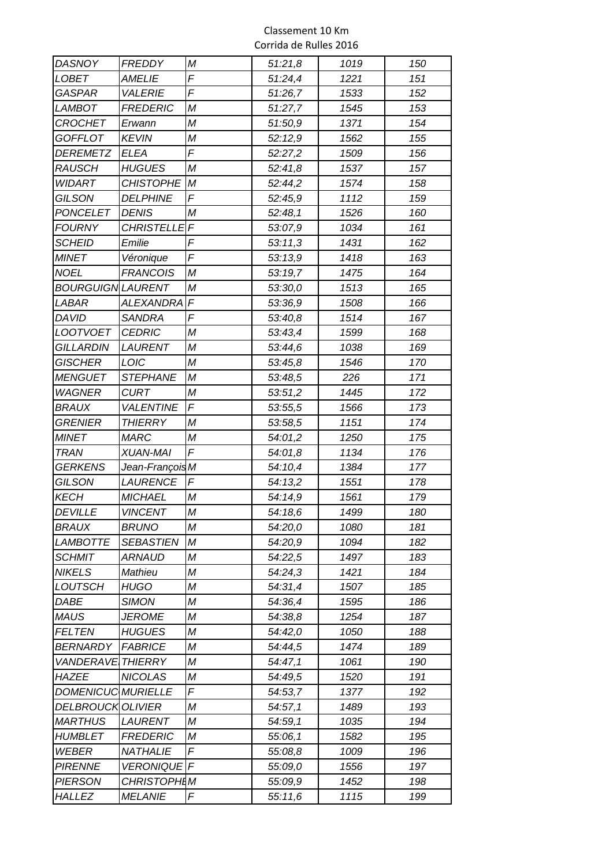| <b>DASNOY</b>            | <b>FREDDY</b>      | M            | 51:21,8 | 1019 | 150        |
|--------------------------|--------------------|--------------|---------|------|------------|
| <b>LOBET</b>             | <b>AMELIE</b>      | F            | 51:24,4 | 1221 | 151        |
| GASPAR                   | <b>VALERIE</b>     | F            | 51:26,7 | 1533 | 152        |
| <b>LAMBOT</b>            | <b>FREDERIC</b>    | M            | 51:27,7 | 1545 | 153        |
| CROCHET                  | Erwann             | M            | 51:50,9 | 1371 | 154        |
| GOFFLOT                  | <b>KEVIN</b>       | M            | 52:12,9 | 1562 | 155        |
| <b>DEREMETZ</b>          | <b>ELEA</b>        | F            | 52:27,2 | 1509 | 156        |
| <b>RAUSCH</b>            | <b>HUGUES</b>      | M            | 52:41,8 | 1537 | 157        |
| <b>WIDART</b>            | <b>CHISTOPHE</b>   | $\mathcal M$ | 52:44,2 | 1574 | 158        |
| GILSON                   | <b>DELPHINE</b>    | F            | 52:45,9 | 1112 | 159        |
| <b>PONCELET</b>          | <b>DENIS</b>       | М            | 52:48,1 | 1526 | 160        |
| <b>FOURNY</b>            | <b>CHRISTELLE</b>  | $\sqrt{ }$   | 53:07,9 | 1034 | 161        |
| <b>SCHEID</b>            | Emilie             | F            | 53:11,3 | 1431 | 162        |
| <b>MINET</b>             | Véronique          | F            | 53:13,9 | 1418 | 163        |
| <b>NOEL</b>              | <b>FRANCOIS</b>    | Μ            | 53:19,7 | 1475 | 164        |
| <b>BOURGUIGN LAURENT</b> |                    | М            | 53:30,0 | 1513 | 165        |
| <i>LABAR</i>             | <b>ALEXANDRA</b>   | $\sqrt{2}$   | 53:36,9 | 1508 | 166        |
| <b>DAVID</b>             | <b>SANDRA</b>      | F            | 53:40,8 | 1514 | 167        |
| <b>LOOTVOET</b>          | <b>CEDRIC</b>      | M            | 53:43,4 | 1599 | 168        |
| <b>GILLARDIN</b>         | <b>LAURENT</b>     | M            | 53:44,6 | 1038 | 169        |
| <b>GISCHER</b>           | LOIC               | М            | 53:45,8 | 1546 | 170        |
| <b>MENGUET</b>           | <b>STEPHANE</b>    | M            | 53:48,5 | 226  | 171        |
| <b>WAGNER</b>            | <b>CURT</b>        | M            | 53:51,2 | 1445 | 172        |
| <i><b>BRAUX</b></i>      | <b>VALENTINE</b>   | F            | 53:55,5 | 1566 | 173        |
| <b>GRENIER</b>           | <b>THIERRY</b>     | Μ            | 53:58,5 | 1151 | 174        |
| <b>MINET</b>             | <b>MARC</b>        | М            | 54:01,2 | 1250 | 175        |
| <b>TRAN</b>              | <b>XUAN-MAI</b>    | F            | 54:01,8 | 1134 | 176        |
| <b>GERKENS</b>           | Jean-François M    |              | 54:10,4 | 1384 | 177        |
| GILSON                   | LAURENCE           | F            | 54:13,2 | 1551 | 178        |
| <b>KECH</b>              | <b>MICHAEL</b>     | M            | 54:14,9 | 1561 | 179        |
| <i>DEVILLE</i>           | <b>VINCENT</b>     | М            | 54:18,6 | 1499 | 180        |
| <i>BRAUX</i>             | <b>BRUNO</b>       | М            | 54:20,0 | 1080 | 181        |
| <b>LAMBOTTE</b>          | <b>SEBASTIEN</b>   | М            | 54:20,9 | 1094 | 182        |
| <i>SCHMIT</i>            | ARNAUD             | Μ            | 54:22,5 | 1497 | 183        |
| <b>NIKELS</b>            | Mathieu            | M            | 54:24,3 | 1421 | 184        |
| <b>LOUTSCH</b>           | <b>HUGO</b>        | Μ            | 54:31,4 | 1507 | 185        |
| <i>DABE</i>              | <b>SIMON</b>       | M            | 54:36,4 | 1595 | 186        |
| <b>MAUS</b>              | <b>JEROME</b>      | Μ            | 54:38,8 | 1254 | 187        |
| <b>FELTEN</b>            | <b>HUGUES</b>      | M            | 54:42,0 | 1050 | 188        |
| <b>BERNARDY</b>          | <b>FABRICE</b>     | Μ            | 54:44,5 | 1474 | 189        |
| VANDERAVE                | <b>THIERRY</b>     | М            | 54:47,1 | 1061 | 190        |
| HAZEE                    | <b>NICOLAS</b>     | M            | 54:49,5 | 1520 | 191        |
| DOMENICUC MURIELLE       |                    | F            | 54:53,7 | 1377 | 192        |
| DELBROUCK OLIVIER        |                    | M            | 54:57,1 | 1489 | 193        |
| <b>MARTHUS</b>           | <b>LAURENT</b>     | M            | 54:59,1 | 1035 | 194        |
| HUMBLET                  | <b>FREDERIC</b>    | Μ            | 55:06,1 | 1582 | 195        |
| <b>WEBER</b>             | NATHALIE           | F            | 55:08,8 | 1009 | 196        |
| <b>PIRENNE</b>           |                    |              |         |      |            |
|                          | VERONIQUE F        |              | 55:09,0 | 1556 | 197        |
| <b>PIERSON</b>           | <b>CHRISTOPHIM</b> | F            | 55:09,9 | 1452 | 198<br>199 |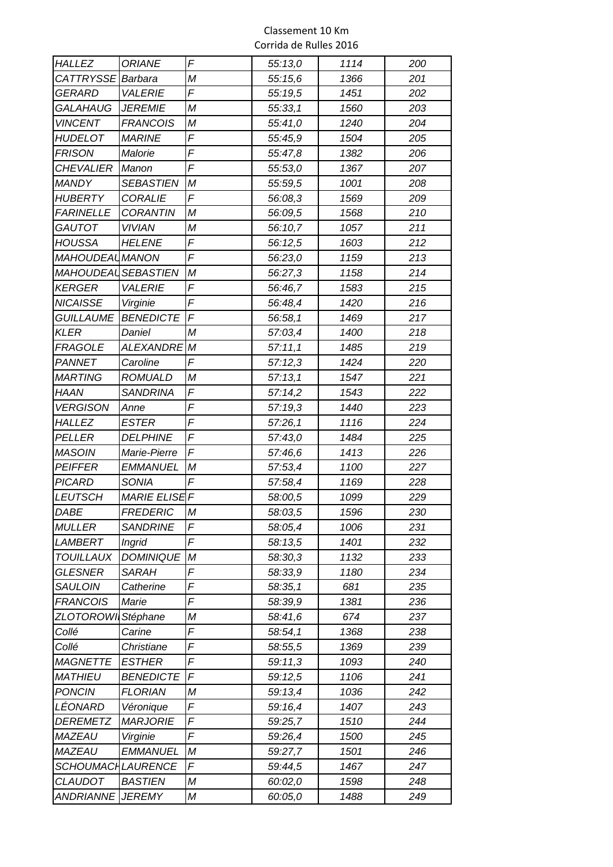| <i><b>HALLEZ</b></i>     | <b>ORIANE</b>        | F | 55:13,0 | 1114 | 200 |
|--------------------------|----------------------|---|---------|------|-----|
| CATTRYSSE                | Barbara              | M | 55:15,6 | 1366 | 201 |
| GERARD                   | <b>VALERIE</b>       | F | 55:19,5 | 1451 | 202 |
| GALAHAUG                 | <b>JEREMIE</b>       | M | 55:33,1 | 1560 | 203 |
| <b>VINCENT</b>           | <b>FRANCOIS</b>      | Μ | 55:41,0 | 1240 | 204 |
| HUDELOT                  | <b>MARINE</b>        | F | 55:45,9 | 1504 | 205 |
| <b>FRISON</b>            | Malorie              | F | 55:47,8 | 1382 | 206 |
| <b>CHEVALIER</b>         | Manon                | F | 55:53,0 | 1367 | 207 |
| <b>MANDY</b>             | <b>SEBASTIEN</b>     | M | 55:59,5 | 1001 | 208 |
| HUBERTY                  | <b>CORALIE</b>       | F | 56:08,3 | 1569 | 209 |
| <b>FARINELLE</b>         | <b>CORANTIN</b>      | M | 56:09,5 | 1568 | 210 |
| <b>GAUTOT</b>            | <b>VIVIAN</b>        | M | 56:10,7 | 1057 | 211 |
| <b>HOUSSA</b>            | <b>HELENE</b>        | F | 56:12,5 | 1603 | 212 |
| <b>MAHOUDEAL MANON</b>   |                      | F | 56:23,0 | 1159 | 213 |
| MAHOUDEAL SEBASTIEN      |                      | М | 56:27,3 | 1158 | 214 |
| <b>KERGER</b>            | <b>VALERIE</b>       | F | 56:46,7 | 1583 | 215 |
| <b>NICAISSE</b>          | Virginie             | F | 56:48,4 | 1420 | 216 |
| <b>GUILLAUME</b>         | <b>BENEDICTE</b>     | F | 56:58,1 | 1469 | 217 |
| KLER                     | Daniel               | M | 57:03,4 | 1400 | 218 |
| <b>FRAGOLE</b>           | <b>ALEXANDRE</b>     | M | 57:11,1 | 1485 | 219 |
| PANNET                   | Caroline             | F | 57:12,3 | 1424 | 220 |
| <i>MARTING</i>           | <b>ROMUALD</b>       | Μ | 57:13,1 | 1547 | 221 |
| <b>HAAN</b>              | <b>SANDRINA</b>      | F | 57:14,2 | 1543 | 222 |
| <b>VERGISON</b>          | Anne                 | F | 57:19,3 | 1440 | 223 |
| <i>HALLEZ</i>            | <b>ESTER</b>         | F | 57:26,1 | 1116 | 224 |
| <i>PELLER</i>            | <b>DELPHINE</b>      | F | 57:43,0 | 1484 | 225 |
| <b>MASOIN</b>            | Marie-Pierre         | F | 57:46,6 | 1413 | 226 |
| <b>PEIFFER</b>           | <b>EMMANUEL</b>      | M | 57:53,4 | 1100 | 227 |
| PICARD                   | SONIA                | F | 57:58,4 | 1169 | 228 |
| <b>LEUTSCH</b>           | <b>MARIE ELISE F</b> |   | 58:00,5 | 1099 | 229 |
| <i>DABE</i>              | <b>FREDERIC</b>      | M | 58:03,5 | 1596 | 230 |
| <b>MULLER</b>            | <b>SANDRINE</b>      | F | 58:05,4 | 1006 | 231 |
| LAMBERT                  | <b>Ingrid</b>        | F | 58:13,5 | 1401 | 232 |
| <b>TOUILLAUX</b>         | <b>DOMINIQUE</b>     | М | 58:30,3 | 1132 | 233 |
| <b>GLESNER</b>           | <b>SARAH</b>         | F | 58:33,9 | 1180 | 234 |
| <b>SAULOIN</b>           | Catherine            | F | 58:35,1 | 681  | 235 |
| <b>FRANCOIS</b>          | Marie                | F | 58:39,9 | 1381 | 236 |
| ZLOTOROWI                | Stéphane             | Μ | 58:41,6 | 674  | 237 |
| Collé                    | Carine               | F | 58:54,1 | 1368 | 238 |
| Collé                    | Christiane           | F | 58:55,5 | 1369 | 239 |
| <b>MAGNETTE</b>          | <b>ESTHER</b>        | F | 59:11,3 | 1093 | 240 |
| <b>MATHIEU</b>           | <b>BENEDICTE</b>     | F | 59:12,5 | 1106 | 241 |
| <b>PONCIN</b>            | <b>FLORIAN</b>       | Μ | 59:13,4 | 1036 | 242 |
| LÉONARD                  | Véronique            | F | 59:16,4 | 1407 | 243 |
| <i>DEREMETZ</i>          | <b>MARJORIE</b>      | F | 59:25,7 | 1510 | 244 |
| MAZEAU                   | Virginie             | F | 59:26,4 | 1500 | 245 |
| MAZEAU                   | EMMANUEL             | М | 59:27,7 | 1501 | 246 |
| <i>SCHOUMACHLAURENCE</i> |                      | F | 59:44,5 | 1467 | 247 |
| <b>CLAUDOT</b>           | <b>BASTIEN</b>       | Μ | 60:02,0 | 1598 | 248 |
| ANDRIANNE                | <b>JEREMY</b>        | Μ | 60:05,0 | 1488 | 249 |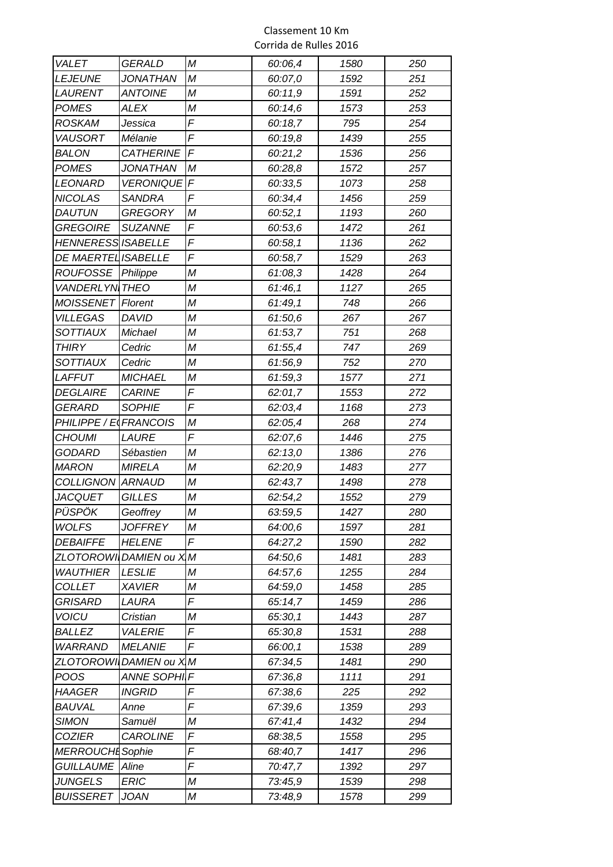| Corrida de Rulles 2016 |
|------------------------|
|                        |

| <b>VALET</b>            | <b>GERALD</b>    | M          | 60:06,4 | 1580 | 250 |
|-------------------------|------------------|------------|---------|------|-----|
| <b>LEJEUNE</b>          | <b>JONATHAN</b>  | М          | 60:07,0 | 1592 | 251 |
| LAURENT                 | <b>ANTOINE</b>   | M          | 60:11,9 | 1591 | 252 |
| <b>POMES</b>            | ALEX             | Μ          | 60:14,6 | 1573 | 253 |
| ROSKAM                  | Jessica          | F          | 60:18,7 | 795  | 254 |
| <b>VAUSORT</b>          | Mélanie          | F          | 60:19,8 | 1439 | 255 |
| BALON                   | <b>CATHERINE</b> | $\sqrt{2}$ | 60:21,2 | 1536 | 256 |
| <b>POMES</b>            | <b>JONATHAN</b>  | М          | 60:28,8 | 1572 | 257 |
| <b>LEONARD</b>          | <b>VERONIQUE</b> | $\sqrt{F}$ | 60:33,5 | 1073 | 258 |
| <b>NICOLAS</b>          | <b>SANDRA</b>    | F          | 60:34,4 | 1456 | 259 |
| <i><b>DAUTUN</b></i>    | <b>GREGORY</b>   | Μ          | 60:52,1 | 1193 | 260 |
| <b>GREGOIRE</b>         | <b>SUZANNE</b>   | F          | 60:53,6 | 1472 | 261 |
| HENNERESS ISABELLE      |                  | F          | 60:58,1 | 1136 | 262 |
| DE MAERTEL ISABELLE     |                  | F          | 60:58,7 | 1529 | 263 |
| ROUFOSSE                | Philippe         | M          | 61:08,3 | 1428 | 264 |
| <b>VANDERLYN THEO</b>   |                  | M          | 61:46,1 | 1127 | 265 |
| <b>MOISSENET</b>        | <b>Florent</b>   | Μ          | 61:49,1 | 748  | 266 |
| <b>VILLEGAS</b>         | DAVID            | M          | 61:50,6 | 267  | 267 |
| <b>SOTTIAUX</b>         | Michael          | M          | 61:53,7 | 751  | 268 |
| <b>THIRY</b>            | Cedric           | M          | 61:55,4 | 747  | 269 |
| <b>SOTTIAUX</b>         | Cedric           | M          | 61:56,9 | 752  | 270 |
| LAFFUT                  | <b>MICHAEL</b>   | M          | 61:59,3 | 1577 | 271 |
| <i><b>DEGLAIRE</b></i>  | <b>CARINE</b>    | F          | 62:01,7 | 1553 | 272 |
| GERARD                  | <b>SOPHIE</b>    | F          | 62:03,4 | 1168 | 273 |
| PHILIPPE / E            | <b>FRANCOIS</b>  | Μ          | 62:05,4 | 268  | 274 |
| <b>CHOUMI</b>           | <b>LAURE</b>     | F          | 62:07,6 | 1446 | 275 |
| GODARD                  | Sébastien        | M          | 62:13,0 | 1386 | 276 |
| <b>MARON</b>            | <b>MIRELA</b>    | M          | 62:20,9 | 1483 | 277 |
| COLLIGNON ARNAUD        |                  | M          | 62:43,7 | 1498 | 278 |
| JACQUET                 | <b>GILLES</b>    | М          | 62:54,2 | 1552 | 279 |
| PÜSPÖK                  | Geoffrey         | М          | 63:59,5 | 1427 | 280 |
| <b>WOLFS</b>            | <b>JOFFREY</b>   | M          | 64:00,6 | 1597 | 281 |
| <b>DEBAIFFE</b>         | <b>HELENE</b>    | F          | 64:27,2 | 1590 | 282 |
| <b>ZLOTOROWI</b>        | DAMIEN ou XM     |            | 64:50,6 | 1481 | 283 |
| <b>WAUTHIER</b>         | <b>LESLIE</b>    | M          | 64:57,6 | 1255 | 284 |
| <b>COLLET</b>           | <b>XAVIER</b>    | Μ          | 64:59,0 | 1458 | 285 |
| <b>GRISARD</b>          | LAURA            | F          | 65:14,7 | 1459 | 286 |
| <b>VOICU</b>            | Cristian         | Μ          | 65:30,1 | 1443 | 287 |
| <b>BALLEZ</b>           | <b>VALERIE</b>   | F          | 65:30,8 | 1531 | 288 |
| <b>WARRAND</b>          | <b>MELANIE</b>   | F          | 66:00,1 | 1538 | 289 |
| ZLOTOROWI               | DAMIEN ou X M    |            | 67:34,5 | 1481 | 290 |
| POOS                    | ANNE SOPHIF      |            | 67:36,8 | 1111 | 291 |
| HAAGER                  | <b>INGRID</b>    | F          | 67:38,6 | 225  | 292 |
| <i><b>BAUVAL</b></i>    | Anne             | F          | 67:39,6 | 1359 | 293 |
| <b>SIMON</b>            | Samuël           | Μ          | 67:41,4 | 1432 | 294 |
| <i>COZIER</i>           | <b>CAROLINE</b>  | F          | 68:38,5 | 1558 | 295 |
| <b>MERROUCHL</b> Sophie |                  | F          | 68:40,7 | 1417 | 296 |
| <b>GUILLAUME</b>        | Aline            | F          | 70:47,7 | 1392 | 297 |
| <b>JUNGELS</b>          | <b>ERIC</b>      | M          | 73:45,9 | 1539 | 298 |
| <b>BUISSERET</b>        | JOAN             | Μ          | 73:48,9 | 1578 | 299 |